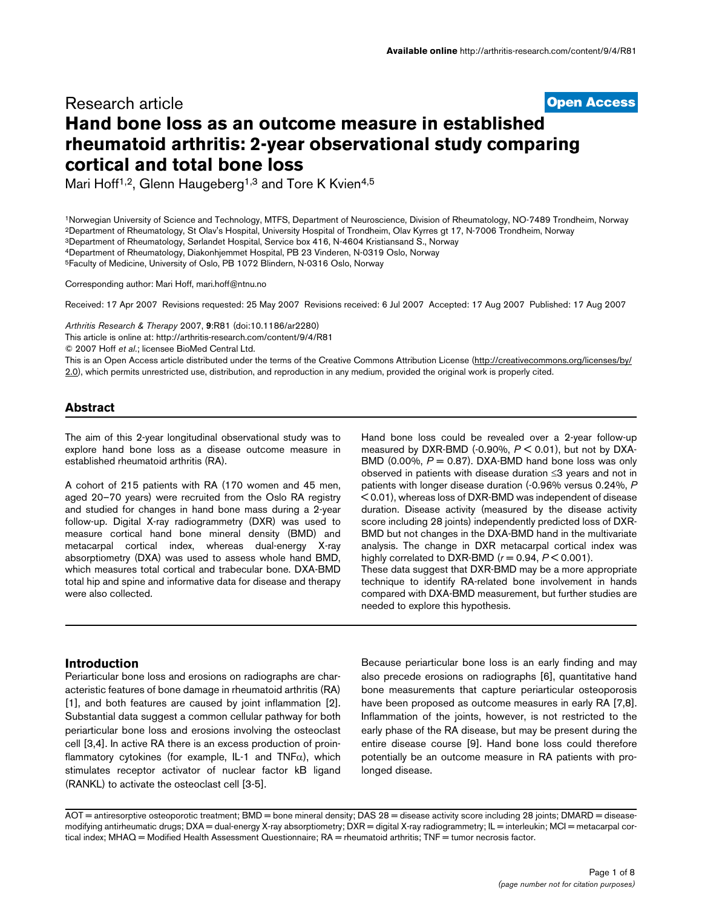# **[Open Access](http://www.biomedcentral.com/info/about/charter/)** Research article **Hand bone loss as an outcome measure in established rheumatoid arthritis: 2-year observational study comparing cortical and total bone loss**

Mari Hoff<sup>1,2</sup>, Glenn Haugeberg<sup>1,3</sup> and Tore K Kvien<sup>4,5</sup>

1Norwegian University of Science and Technology, MTFS, Department of Neuroscience, Division of Rheumatology, NO-7489 Trondheim, Norway 2Department of Rheumatology, St Olav's Hospital, University Hospital of Trondheim, Olav Kyrres gt 17, N-7006 Trondheim, Norway 3Department of Rheumatology, Sørlandet Hospital, Service box 416, N-4604 Kristiansand S., Norway 4Department of Rheumatology, Diakonhjemmet Hospital, PB 23 Vinderen, N-0319 Oslo, Norway

5Faculty of Medicine, University of Oslo, PB 1072 Blindern, N-0316 Oslo, Norway

Corresponding author: Mari Hoff, mari.hoff@ntnu.no

Received: 17 Apr 2007 Revisions requested: 25 May 2007 Revisions received: 6 Jul 2007 Accepted: 17 Aug 2007 Published: 17 Aug 2007

*Arthritis Research & Therapy* 2007, **9**:R81 (doi:10.1186/ar2280)

[This article is online at: http://arthritis-research.com/content/9/4/R81](http://arthritis-research.com/content/9/4/R81)

© 2007 Hoff *et al*.; licensee BioMed Central Ltd.

This is an Open Access article distributed under the terms of the Creative Commons Attribution License ([http://creativecommons.org/licenses/by/](http://creativecommons.org/licenses/by/2.0) [2.0\)](http://creativecommons.org/licenses/by/2.0), which permits unrestricted use, distribution, and reproduction in any medium, provided the original work is properly cited.

# **Abstract**

The aim of this 2-year longitudinal observational study was to explore hand bone loss as a disease outcome measure in established rheumatoid arthritis (RA).

A cohort of 215 patients with RA (170 women and 45 men, aged 20–70 years) were recruited from the Oslo RA registry and studied for changes in hand bone mass during a 2-year follow-up. Digital X-ray radiogrammetry (DXR) was used to measure cortical hand bone mineral density (BMD) and metacarpal cortical index, whereas dual-energy X-ray absorptiometry (DXA) was used to assess whole hand BMD, which measures total cortical and trabecular bone. DXA-BMD total hip and spine and informative data for disease and therapy were also collected.

Hand bone loss could be revealed over a 2-year follow-up measured by DXR-BMD (-0.90%, *P* < 0.01), but not by DXA-BMD (0.00%,  $P = 0.87$ ). DXA-BMD hand bone loss was only observed in patients with disease duration ≤3 years and not in patients with longer disease duration (-0.96% versus 0.24%, *P* < 0.01), whereas loss of DXR-BMD was independent of disease duration. Disease activity (measured by the disease activity score including 28 joints) independently predicted loss of DXR-BMD but not changes in the DXA-BMD hand in the multivariate analysis. The change in DXR metacarpal cortical index was highly correlated to DXR-BMD  $(r = 0.94, P < 0.001)$ .

These data suggest that DXR-BMD may be a more appropriate technique to identify RA-related bone involvement in hands compared with DXA-BMD measurement, but further studies are needed to explore this hypothesis.

# **Introduction**

Periarticular bone loss and erosions on radiographs are characteristic features of bone damage in rheumatoid arthritis (RA) [1], and both features are caused by joint inflammation [2]. Substantial data suggest a common cellular pathway for both periarticular bone loss and erosions involving the osteoclast cell [3,4]. In active RA there is an excess production of proinflammatory cytokines (for example, IL-1 and  $TNF\alpha$ ), which stimulates receptor activator of nuclear factor kB ligand (RANKL) to activate the osteoclast cell [3-5].

Because periarticular bone loss is an early finding and may also precede erosions on radiographs [6], quantitative hand bone measurements that capture periarticular osteoporosis have been proposed as outcome measures in early RA [7,8]. Inflammation of the joints, however, is not restricted to the early phase of the RA disease, but may be present during the entire disease course [9]. Hand bone loss could therefore potentially be an outcome measure in RA patients with prolonged disease.

AOT = antiresorptive osteoporotic treatment; BMD = bone mineral density; DAS 28 = disease activity score including 28 joints; DMARD = diseasemodifying antirheumatic drugs; DXA = dual-energy X-ray absorptiometry; DXR = digital X-ray radiogrammetry; IL = interleukin; MCI = metacarpal cortical index; MHAQ = Modified Health Assessment Questionnaire; RA = rheumatoid arthritis; TNF = tumor necrosis factor.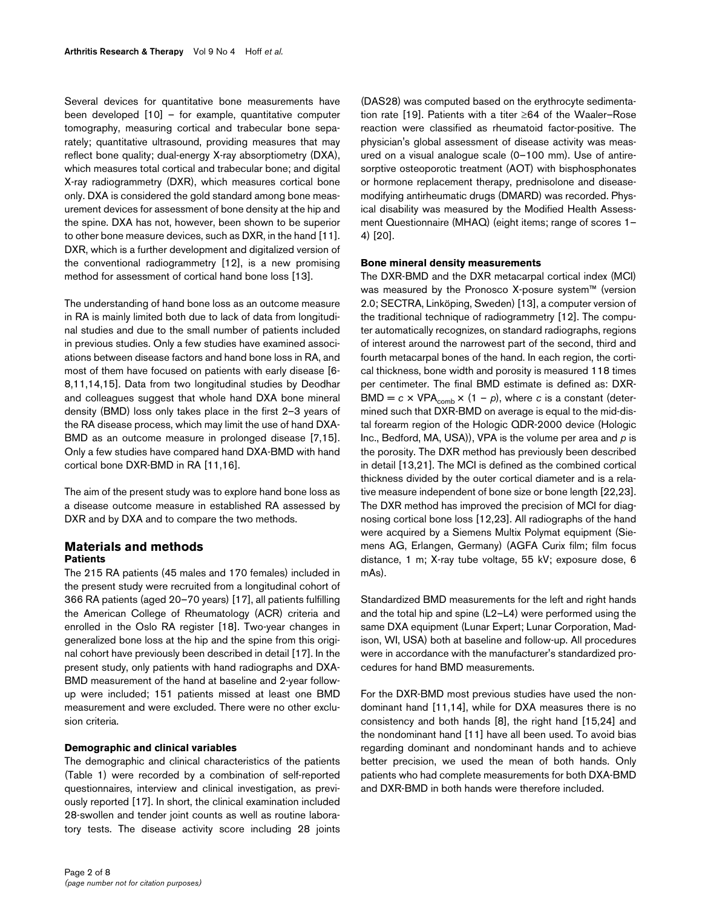Several devices for quantitative bone measurements have been developed [10] – for example, quantitative computer tomography, measuring cortical and trabecular bone separately; quantitative ultrasound, providing measures that may reflect bone quality; dual-energy X-ray absorptiometry (DXA), which measures total cortical and trabecular bone; and digital X-ray radiogrammetry (DXR), which measures cortical bone only. DXA is considered the gold standard among bone measurement devices for assessment of bone density at the hip and the spine. DXA has not, however, been shown to be superior to other bone measure devices, such as DXR, in the hand [11]. DXR, which is a further development and digitalized version of the conventional radiogrammetry [12], is a new promising method for assessment of cortical hand bone loss [13].

The understanding of hand bone loss as an outcome measure in RA is mainly limited both due to lack of data from longitudinal studies and due to the small number of patients included in previous studies. Only a few studies have examined associations between disease factors and hand bone loss in RA, and most of them have focused on patients with early disease [6- 8,11,14,15]. Data from two longitudinal studies by Deodhar and colleagues suggest that whole hand DXA bone mineral density (BMD) loss only takes place in the first 2–3 years of the RA disease process, which may limit the use of hand DXA-BMD as an outcome measure in prolonged disease [7,15]. Only a few studies have compared hand DXA-BMD with hand cortical bone DXR-BMD in RA [11,16].

The aim of the present study was to explore hand bone loss as a disease outcome measure in established RA assessed by DXR and by DXA and to compare the two methods.

# **Materials and methods Patients**

The 215 RA patients (45 males and 170 females) included in the present study were recruited from a longitudinal cohort of 366 RA patients (aged 20–70 years) [17], all patients fulfilling the American College of Rheumatology (ACR) criteria and enrolled in the Oslo RA register [18]. Two-year changes in generalized bone loss at the hip and the spine from this original cohort have previously been described in detail [17]. In the present study, only patients with hand radiographs and DXA-BMD measurement of the hand at baseline and 2-year followup were included; 151 patients missed at least one BMD measurement and were excluded. There were no other exclusion criteria.

### **Demographic and clinical variables**

The demographic and clinical characteristics of the patients (Table [1](#page-2-0)) were recorded by a combination of self-reported questionnaires, interview and clinical investigation, as previously reported [17]. In short, the clinical examination included 28-swollen and tender joint counts as well as routine laboratory tests. The disease activity score including 28 joints (DAS28) was computed based on the erythrocyte sedimentation rate [19]. Patients with a titer ≥64 of the Waaler–Rose reaction were classified as rheumatoid factor-positive. The physician's global assessment of disease activity was measured on a visual analogue scale (0–100 mm). Use of antiresorptive osteoporotic treatment (AOT) with bisphosphonates or hormone replacement therapy, prednisolone and diseasemodifying antirheumatic drugs (DMARD) was recorded. Physical disability was measured by the Modified Health Assessment Questionnaire (MHAQ) (eight items; range of scores 1– 4) [20].

# **Bone mineral density measurements**

The DXR-BMD and the DXR metacarpal cortical index (MCI) was measured by the Pronosco X-posure system™ (version 2.0; SECTRA, Linköping, Sweden) [13], a computer version of the traditional technique of radiogrammetry [12]. The computer automatically recognizes, on standard radiographs, regions of interest around the narrowest part of the second, third and fourth metacarpal bones of the hand. In each region, the cortical thickness, bone width and porosity is measured 118 times per centimeter. The final BMD estimate is defined as: DXR- $BMD = c \times VPA_{comb} \times (1 - p)$ , where *c* is a constant (determined such that DXR-BMD on average is equal to the mid-distal forearm region of the Hologic QDR-2000 device (Hologic Inc., Bedford, MA, USA)), VPA is the volume per area and *p* is the porosity. The DXR method has previously been described in detail [13,21]. The MCI is defined as the combined cortical thickness divided by the outer cortical diameter and is a relative measure independent of bone size or bone length [22,23]. The DXR method has improved the precision of MCI for diagnosing cortical bone loss [12,23]. All radiographs of the hand were acquired by a Siemens Multix Polymat equipment (Siemens AG, Erlangen, Germany) (AGFA Curix film; film focus distance, 1 m; X-ray tube voltage, 55 kV; exposure dose, 6 mAs).

Standardized BMD measurements for the left and right hands and the total hip and spine (L2–L4) were performed using the same DXA equipment (Lunar Expert; Lunar Corporation, Madison, WI, USA) both at baseline and follow-up. All procedures were in accordance with the manufacturer's standardized procedures for hand BMD measurements.

For the DXR-BMD most previous studies have used the nondominant hand [11,14], while for DXA measures there is no consistency and both hands [8], the right hand [15,24] and the nondominant hand [11] have all been used. To avoid bias regarding dominant and nondominant hands and to achieve better precision, we used the mean of both hands. Only patients who had complete measurements for both DXA-BMD and DXR-BMD in both hands were therefore included.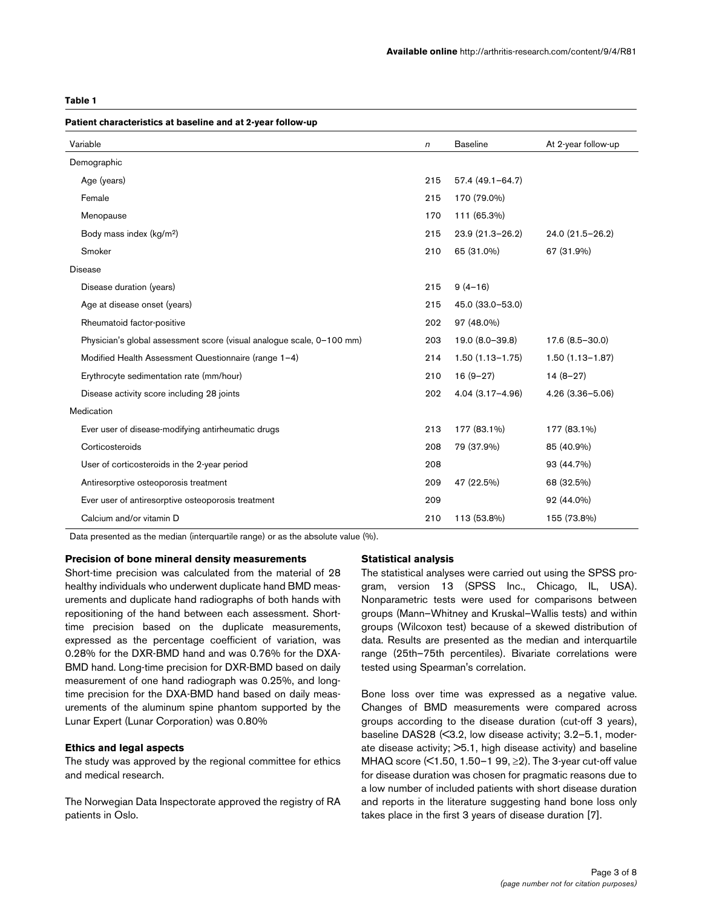#### <span id="page-2-0"></span>**Table 1**

# **Patient characteristics at baseline and at 2-year follow-up** Variable **At 2-year follow-up n** Baseline At 2-year follow-up Demographic Age (years) 215 57.4 (49.1–64.7) Female 215 170 (79.0%) Menopause 170 111 (65.3%) Body mass index (kg/m2) 215 23.9 (21.3–26.2) 24.0 (21.5–26.2) Smoker 210 65 (31.0%) 67 (31.9%) Disease Disease duration (years) 215 9 (4–16) Age at disease onset (years) 215 45.0 (33.0–53.0) Rheumatoid factor-positive 202 97 (48.0%) Physician's global assessment score (visual analogue scale, 0–100 mm) 203 19.0 (8.0–39.8) 17.6 (8.5–30.0) Modified Health Assessment Questionnaire (range 1–4) 214 1.50 (1.13–1.75) 1.50 (1.13–1.87) Erythrocyte sedimentation rate (mm/hour) 210 16 (9–27) 14 (8–27) Disease activity score including 28 joints 202 4.04 (3.17–4.96) 4.26 (3.36–5.06) Medication Ever user of disease-modifying antirheumatic drugs 213 177 (83.1%) 177 (83.1%) Corticosteroids 208 79 (37.9%) 85 (40.9%) User of corticosteroids in the 2-year period 208 93 (44.7%) Antiresorptive osteoporosis treatment 200 47 (22.5%) 68 (32.5%) Ever user of antiresorptive osteoporosis treatment 209 92 (44.0%) Calcium and/or vitamin D 210 113 (53.8%) 155 (73.8%)

Data presented as the median (interquartile range) or as the absolute value (%).

#### **Precision of bone mineral density measurements**

Short-time precision was calculated from the material of 28 healthy individuals who underwent duplicate hand BMD measurements and duplicate hand radiographs of both hands with repositioning of the hand between each assessment. Shorttime precision based on the duplicate measurements, expressed as the percentage coefficient of variation, was 0.28% for the DXR-BMD hand and was 0.76% for the DXA-BMD hand. Long-time precision for DXR-BMD based on daily measurement of one hand radiograph was 0.25%, and longtime precision for the DXA-BMD hand based on daily measurements of the aluminum spine phantom supported by the Lunar Expert (Lunar Corporation) was 0.80%

### **Ethics and legal aspects**

The study was approved by the regional committee for ethics and medical research.

The Norwegian Data Inspectorate approved the registry of RA patients in Oslo.

#### **Statistical analysis**

The statistical analyses were carried out using the SPSS program, version 13 (SPSS Inc., Chicago, IL, USA). Nonparametric tests were used for comparisons between groups (Mann–Whitney and Kruskal–Wallis tests) and within groups (Wilcoxon test) because of a skewed distribution of data. Results are presented as the median and interquartile range (25th–75th percentiles). Bivariate correlations were tested using Spearman's correlation.

Bone loss over time was expressed as a negative value. Changes of BMD measurements were compared across groups according to the disease duration (cut-off 3 years), baseline DAS28 (<3.2, low disease activity; 3.2–5.1, moderate disease activity; >5.1, high disease activity) and baseline MHAQ score (<1.50, 1.50–1 99, ≥2). The 3-year cut-off value for disease duration was chosen for pragmatic reasons due to a low number of included patients with short disease duration and reports in the literature suggesting hand bone loss only takes place in the first 3 years of disease duration [7].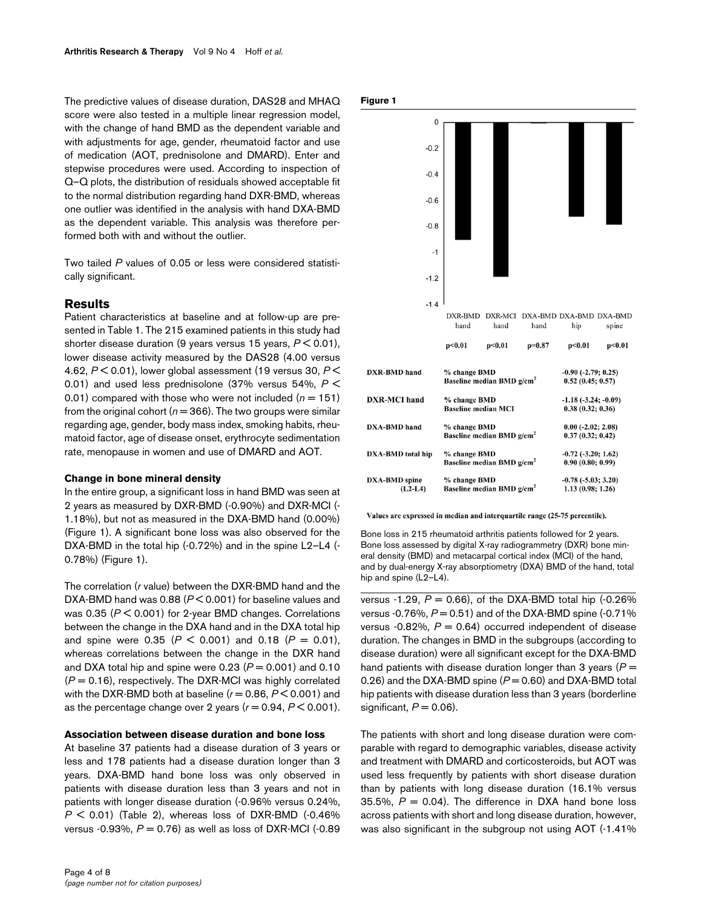The predictive values of disease duration, DAS28 and MHAQ score were also tested in a multiple linear regression model, with the change of hand BMD as the dependent variable and with adjustments for age, gender, rheumatoid factor and use of medication (AOT, prednisolone and DMARD). Enter and stepwise procedures were used. According to inspection of Q–Q plots, the distribution of residuals showed acceptable fit to the normal distribution regarding hand DXR-BMD, whereas one outlier was identified in the analysis with hand DXA-BMD as the dependent variable. This analysis was therefore performed both with and without the outlier.

Two tailed *P* values of 0.05 or less were considered statistically significant.

#### **Results**

Patient characteristics at baseline and at follow-up are presented in Table [1.](#page-2-0) The 215 examined patients in this study had shorter disease duration (9 years versus 15 years, *P* < 0.01), lower disease activity measured by the DAS28 (4.00 versus 4.62, *P* < 0.01), lower global assessment (19 versus 30, *P* < 0.01) and used less prednisolone (37% versus 54%, *P* < 0.01) compared with those who were not included  $(n = 151)$ from the original cohort ( $n = 366$ ). The two groups were similar regarding age, gender, body mass index, smoking habits, rheumatoid factor, age of disease onset, erythrocyte sedimentation rate, menopause in women and use of DMARD and AOT.

#### **Change in bone mineral density**

In the entire group, a significant loss in hand BMD was seen at 2 years as measured by DXR-BMD (-0.90%) and DXR-MCI (- 1.18%), but not as measured in the DXA-BMD hand (0.00%) (Figure 1). A significant bone loss was also observed for the DXA-BMD in the total hip (-0.72%) and in the spine L2–L4 (-0.78%) (Figure 1).

The correlation (*r* value) between the DXR-BMD hand and the DXA-BMD hand was 0.88 (*P* < 0.001) for baseline values and was 0.35 (*P* < 0.001) for 2-year BMD changes. Correlations between the change in the DXA hand and in the DXA total hip and spine were 0.35 ( $P < 0.001$ ) and 0.18 ( $P = 0.01$ ), whereas correlations between the change in the DXR hand and DXA total hip and spine were  $0.23$  ( $P = 0.001$ ) and  $0.10$  $(P = 0.16)$ , respectively. The DXR-MCI was highly correlated with the DXR-BMD both at baseline ( $r = 0.86$ ,  $P < 0.001$ ) and as the percentage change over 2 years  $(r = 0.94, P \le 0.001)$ .

#### **Association between disease duration and bone loss**

At baseline 37 patients had a disease duration of 3 years or less and 178 patients had a disease duration longer than 3 years. DXA-BMD hand bone loss was only observed in patients with disease duration less than 3 years and not in patients with longer disease duration (-0.96% versus 0.24%,  $P < 0.01$ ) (Table [2](#page-4-0)), whereas loss of DXR-BMD (-0.46%) versus  $-0.93\%$ ,  $P = 0.76$ ) as well as loss of DXR-MCI  $(-0.89)$ 





Values are expressed in median and interquartile range (25-75 percentile).

Bone loss in 215 rheumatoid arthritis patients followed for 2 years. Bone loss assessed by digital X-ray radiogrammetry (DXR) bone mineral density (BMD) and metacarpal cortical index (MCI) of the hand, and by dual-energy X-ray absorptiometry (DXA) BMD of the hand, total hip and spine (L2–L4).

versus  $-1.29$ ,  $P = 0.66$ ), of the DXA-BMD total hip  $(-0.26\%)$ versus -0.76%,  $P = 0.51$ ) and of the DXA-BMD spine (-0.71%) versus  $-0.82\%$ ,  $P = 0.64$ ) occurred independent of disease duration. The changes in BMD in the subgroups (according to disease duration) were all significant except for the DXA-BMD hand patients with disease duration longer than 3 years (*P* = 0.26) and the DXA-BMD spine  $(P = 0.60)$  and DXA-BMD total hip patients with disease duration less than 3 years (borderline significant,  $P = 0.06$ ).

The patients with short and long disease duration were comparable with regard to demographic variables, disease activity and treatment with DMARD and corticosteroids, but AOT was used less frequently by patients with short disease duration than by patients with long disease duration (16.1% versus 35.5%,  $P = 0.04$ ). The difference in DXA hand bone loss across patients with short and long disease duration, however, was also significant in the subgroup not using AOT (-1.41%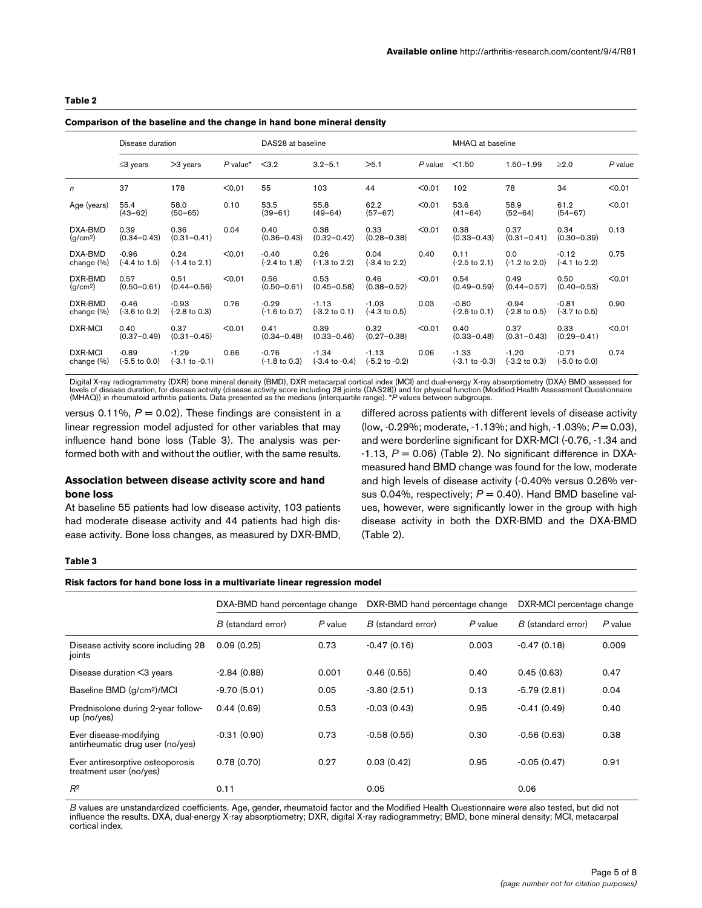#### <span id="page-4-0"></span>**Table 2**

#### **Comparison of the baseline and the change in hand bone mineral density**

|                                 | Disease duration                    |                                      |                       | DAS28 at baseline                   |                                                                                         |                              |        | MHAQ at baseline                                              |                                                              |                          |           |
|---------------------------------|-------------------------------------|--------------------------------------|-----------------------|-------------------------------------|-----------------------------------------------------------------------------------------|------------------------------|--------|---------------------------------------------------------------|--------------------------------------------------------------|--------------------------|-----------|
|                                 | $\leq$ 3 years                      | $>3$ years                           | $P$ value* $\leq$ 3.2 |                                     | $3.2 - 5.1$                                                                             | >5.1                         |        | $P$ value $\leq$ 1.50                                         | $1.50 - 1.99$                                                | $\geq$ 2.0               | $P$ value |
| $\mathsf{n}$                    | 37                                  | 178                                  | < 0.01                | 55                                  | 103                                                                                     | 44                           | < 0.01 | 102                                                           | 78                                                           | 34                       | < 0.01    |
| Age (years)                     | 55.4<br>$(43 - 62)$                 | 58.0<br>$(50 - 65)$                  | 0.10                  | 53.5<br>$(39 - 61)$                 | 55.8<br>$(49 - 64)$                                                                     | 62.2<br>$(57 - 67)$          | < 0.01 | 53.6<br>$(41 - 64)$                                           | 58.9<br>$(52 - 64)$                                          | 61.2<br>$(54 - 67)$      | < 0.01    |
| DXA-BMD<br>(g/cm <sup>2</sup> ) | 0.39<br>$(0.34 - 0.43)$             | 0.36<br>$(0.31 - 0.41)$              | 0.04                  | 0.40                                | 0.38<br>$(0.36 - 0.43)$ $(0.32 - 0.42)$                                                 | 0.33<br>$(0.28 - 0.38)$      | < 0.01 | 0.38<br>$(0.33 - 0.43)$                                       | 0.37<br>$(0.31 - 0.41)$                                      | 0.34<br>$(0.30 - 0.39)$  | 0.13      |
| DXA-BMD<br>change (%)           | $-0.96$<br>$(-4.4 \text{ to } 1.5)$ | 0.24<br>$(-1.4 \text{ to } 2.1)$     | < 0.01                | $-0.40$<br>$(-2.4 \text{ to } 1.8)$ | 0.26<br>(-1.3 to 2.2)                                                                   | $0.04$ 0.40<br>(-3.4 to 2.2) |        | 0.11<br>$(-2.5 \text{ to } 2.1)$                              | 0.0<br>$(-1.2 \text{ to } 2.0)$ $(-4.1 \text{ to } 2.2)$     | $-0.12$                  | 0.75      |
| DXR-BMD<br>(g/cm <sup>2</sup> ) | 0.57<br>$(0.50 - 0.61)$             | 0.51<br>$(0.44 - 0.56)$              | < 0.01                | 0.56                                | 0.53<br>$(0.50-0.61)$ $(0.45-0.58)$                                                     | 0.46<br>$(0.38 - 0.52)$      | < 0.01 | 0.54<br>$(0.49 - 0.59)$                                       | 0.49<br>$(0.44 - 0.57)$                                      | 0.50<br>$(0.40 - 0.53)$  | < 0.01    |
| DXR-BMD<br>change (%)           | $-0.46$<br>$(-3.6 \text{ to } 0.2)$ | $-0.93$<br>$(-2.8 \text{ to } 0.3)$  | 0.76                  | $-0.29$                             | $-1.13$<br>$(-1.6 \text{ to } 0.7)$ $(-3.2 \text{ to } 0.1)$ $(-4.3 \text{ to } 0.5)$   | $-1.03$ 0.03                 |        | $-0.80$<br>$(-2.6 \text{ to } 0.1)$                           | $-0.94$<br>$(-2.8 \text{ to } 0.5)$ $(-3.7 \text{ to } 0.5)$ | $-0.81$                  | 0.90      |
| DXR-MCI                         | 0.40<br>$(0.37 - 0.49)$             | 0.37<br>$(0.31 - 0.45)$              | < 0.01                | 0.41                                | 0.39<br>$(0.34 - 0.48)$ $(0.33 - 0.46)$                                                 | 0.32<br>$(0.27 - 0.38)$      | < 0.01 | 0.40<br>$(0.33 - 0.48)$                                       | 0.37<br>$(0.31 - 0.43)$                                      | 0.33<br>$(0.29 - 0.41)$  | < 0.01    |
| DXR-MCI<br>change (%)           | $-0.89$<br>(-5.5 to 0.0)            | $-1.29$<br>$(-3.1 \text{ to } -0.1)$ | 0.66                  | $-0.76$                             | $-1.34$<br>$(-1.8 \text{ to } 0.3)$ $(-3.4 \text{ to } -0.4)$ $(-5.2 \text{ to } -0.2)$ | $-1.13$ 0.06                 |        | $-1.33$<br>$(-3.1 \text{ to } -0.3)$ $(-3.2 \text{ to } 0.3)$ | $-1.20$                                                      | $-0.71$<br>(-5.0 to 0.0) | 0.74      |

Digital X-ray radiogrammetry (DXR) bone mineral density (BMD), DXR metacarpal cortical index (MCI) and dual-energy X-ray absorptiometry (DXA) BMD assessed for<br>levels of disease duration, for disease activity (disease activ (MHAQ)) in rheumatoid arthritis patients. Data presented as the medians (interquartile range). \**P* values between subgroups.

versus 0.11%,  $P = 0.02$ ). These findings are consistent in a linear regression model adjusted for other variables that may influence hand bone loss (Table 3). The analysis was performed both with and without the outlier, with the same results.

# **Association between disease activity score and hand bone loss**

At baseline 55 patients had low disease activity, 103 patients had moderate disease activity and 44 patients had high disease activity. Bone loss changes, as measured by DXR-BMD,

differed across patients with different levels of disease activity (low, -0.29%; moderate, -1.13%; and high, -1.03%; *P* = 0.03), and were borderline significant for DXR-MCI (-0.76, -1.34 and  $-1.13$ ,  $P = 0.06$ ) (Table [2](#page-4-0)). No significant difference in DXAmeasured hand BMD change was found for the low, moderate and high levels of disease activity (-0.40% versus 0.26% versus 0.04%, respectively;  $P = 0.40$ ). Hand BMD baseline values, however, were significantly lower in the group with high disease activity in both the DXR-BMD and the DXA-BMD (Table [2\)](#page-4-0).

#### **Table 3**

#### **Risk factors for hand bone loss in a multivariate linear regression model**

|                                                             | DXA-BMD hand percentage change |           | DXR-BMD hand percentage change | DXR-MCI percentage change |                    |           |
|-------------------------------------------------------------|--------------------------------|-----------|--------------------------------|---------------------------|--------------------|-----------|
|                                                             | B (standard error)             | $P$ value | B (standard error)             | $P$ value                 | B (standard error) | $P$ value |
| Disease activity score including 28<br>joints               | 0.09(0.25)                     | 0.73      | $-0.47(0.16)$                  | 0.003                     | $-0.47(0.18)$      | 0.009     |
| Disease duration <3 years                                   | $-2.84(0.88)$                  | 0.001     | 0.46(0.55)                     | 0.40                      | 0.45(0.63)         | 0.47      |
| Baseline BMD (g/cm <sup>2</sup> )/MCI                       | $-9.70(5.01)$                  | 0.05      | $-3.80(2.51)$                  | 0.13                      | $-5.79(2.81)$      | 0.04      |
| Prednisolone during 2-year follow-<br>$up$ (no/yes)         | 0.44(0.69)                     | 0.53      | $-0.03(0.43)$                  | 0.95                      | $-0.41(0.49)$      | 0.40      |
| Ever disease-modifying<br>antirheumatic drug user (no/yes)  | $-0.31(0.90)$                  | 0.73      | $-0.58(0.55)$                  | 0.30                      | $-0.56(0.63)$      | 0.38      |
| Ever antiresorptive osteoporosis<br>treatment user (no/yes) | 0.78(0.70)                     | 0.27      | 0.03(0.42)                     | 0.95                      | $-0.05(0.47)$      | 0.91      |
| $R^2$                                                       | 0.11                           |           | 0.05                           |                           | 0.06               |           |

*B* values are unstandardized coefficients. Age, gender, rheumatoid factor and the Modified Health Questionnaire were also tested, but did not influence the results. DXA, dual-energy X-ray absorptiometry; DXR, digital X-ray radiogrammetry; BMD, bone mineral density; MCI, metacarpal cortical index.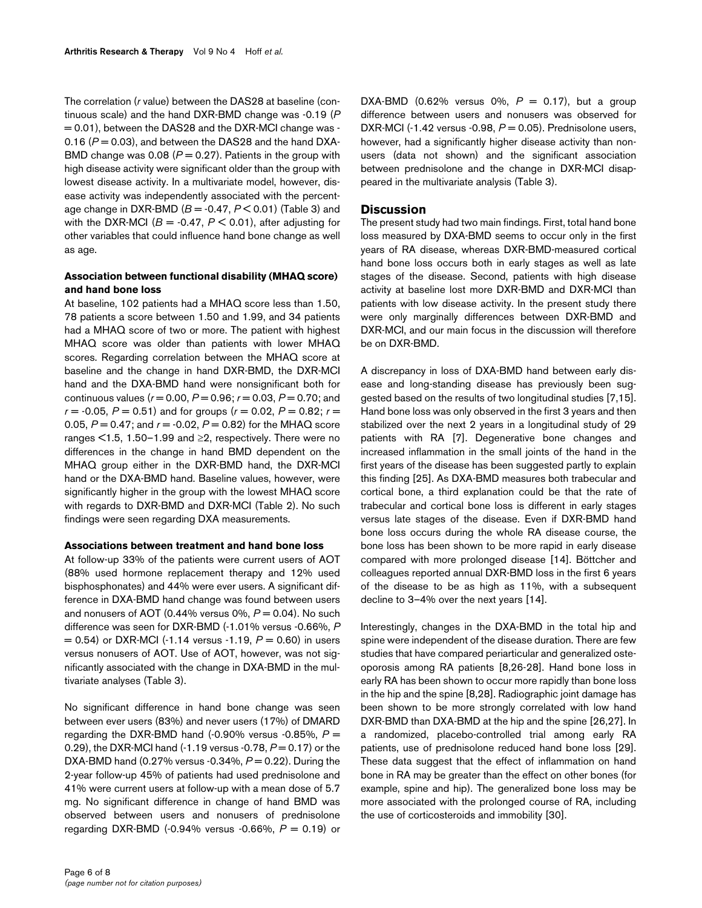The correlation (*r* value) between the DAS28 at baseline (continuous scale) and the hand DXR-BMD change was -0.19 (*P* = 0.01), between the DAS28 and the DXR-MCI change was - 0.16  $(P = 0.03)$ , and between the DAS28 and the hand DXA-BMD change was 0.08  $(P = 0.27)$ . Patients in the group with high disease activity were significant older than the group with lowest disease activity. In a multivariate model, however, disease activity was independently associated with the percentage change in DXR-BMD (*B* = -0.47, *P* < 0.01) (Table 3) and with the DXR-MCI ( $B = -0.47$ ,  $P < 0.01$ ), after adjusting for other variables that could influence hand bone change as well as age.

# **Association between functional disability (MHAQ score) and hand bone loss**

At baseline, 102 patients had a MHAQ score less than 1.50, 78 patients a score between 1.50 and 1.99, and 34 patients had a MHAQ score of two or more. The patient with highest MHAQ score was older than patients with lower MHAQ scores. Regarding correlation between the MHAQ score at baseline and the change in hand DXR-BMD, the DXR-MCI hand and the DXA-BMD hand were nonsignificant both for continuous values (*r* = 0.00, *P* = 0.96; *r* = 0.03, *P* = 0.70; and  $r = -0.05$ ,  $P = 0.51$ ) and for groups ( $r = 0.02$ ,  $P = 0.82$ ;  $r =$ 0.05, *P* = 0.47; and *r* = -0.02, *P* = 0.82) for the MHAQ score ranges <1.5, 1.50–1.99 and ≥2, respectively. There were no differences in the change in hand BMD dependent on the MHAQ group either in the DXR-BMD hand, the DXR-MCI hand or the DXA-BMD hand. Baseline values, however, were significantly higher in the group with the lowest MHAQ score with regards to DXR-BMD and DXR-MCI (Table [2](#page-4-0)). No such findings were seen regarding DXA measurements.

#### **Associations between treatment and hand bone loss**

At follow-up 33% of the patients were current users of AOT (88% used hormone replacement therapy and 12% used bisphosphonates) and 44% were ever users. A significant difference in DXA-BMD hand change was found between users and nonusers of AOT (0.44% versus  $0\%$ ,  $P = 0.04$ ). No such difference was seen for DXR-BMD (-1.01% versus -0.66%, *P*  $= 0.54$ ) or DXR-MCI (-1.14 versus -1.19,  $P = 0.60$ ) in users versus nonusers of AOT. Use of AOT, however, was not significantly associated with the change in DXA-BMD in the multivariate analyses (Table 3).

No significant difference in hand bone change was seen between ever users (83%) and never users (17%) of DMARD regarding the DXR-BMD hand  $(-0.90\%$  versus  $-0.85\%$ ,  $P =$ 0.29), the DXR-MCI hand (-1.19 versus -0.78,  $P = 0.17$ ) or the DXA-BMD hand (0.27% versus -0.34%,  $P = 0.22$ ). During the 2-year follow-up 45% of patients had used prednisolone and 41% were current users at follow-up with a mean dose of 5.7 mg. No significant difference in change of hand BMD was observed between users and nonusers of prednisolone regarding DXR-BMD (-0.94% versus -0.66%, *P* = 0.19) or

DXA-BMD (0.62% versus 0%,  $P = 0.17$ ), but a group difference between users and nonusers was observed for DXR-MCI (-1.42 versus -0.98,  $P = 0.05$ ). Prednisolone users, however, had a significantly higher disease activity than nonusers (data not shown) and the significant association between prednisolone and the change in DXR-MCI disappeared in the multivariate analysis (Table 3).

# **Discussion**

The present study had two main findings. First, total hand bone loss measured by DXA-BMD seems to occur only in the first years of RA disease, whereas DXR-BMD-measured cortical hand bone loss occurs both in early stages as well as late stages of the disease. Second, patients with high disease activity at baseline lost more DXR-BMD and DXR-MCI than patients with low disease activity. In the present study there were only marginally differences between DXR-BMD and DXR-MCI, and our main focus in the discussion will therefore be on DXR-BMD.

A discrepancy in loss of DXA-BMD hand between early disease and long-standing disease has previously been suggested based on the results of two longitudinal studies [7,15]. Hand bone loss was only observed in the first 3 years and then stabilized over the next 2 years in a longitudinal study of 29 patients with RA [7]. Degenerative bone changes and increased inflammation in the small joints of the hand in the first years of the disease has been suggested partly to explain this finding [25]. As DXA-BMD measures both trabecular and cortical bone, a third explanation could be that the rate of trabecular and cortical bone loss is different in early stages versus late stages of the disease. Even if DXR-BMD hand bone loss occurs during the whole RA disease course, the bone loss has been shown to be more rapid in early disease compared with more prolonged disease [14]. Böttcher and colleagues reported annual DXR-BMD loss in the first 6 years of the disease to be as high as 11%, with a subsequent decline to 3–4% over the next years [14].

Interestingly, changes in the DXA-BMD in the total hip and spine were independent of the disease duration. There are few studies that have compared periarticular and generalized osteoporosis among RA patients [8,26-28]. Hand bone loss in early RA has been shown to occur more rapidly than bone loss in the hip and the spine [8,28]. Radiographic joint damage has been shown to be more strongly correlated with low hand DXR-BMD than DXA-BMD at the hip and the spine [26,27]. In a randomized, placebo-controlled trial among early RA patients, use of prednisolone reduced hand bone loss [29]. These data suggest that the effect of inflammation on hand bone in RA may be greater than the effect on other bones (for example, spine and hip). The generalized bone loss may be more associated with the prolonged course of RA, including the use of corticosteroids and immobility [30].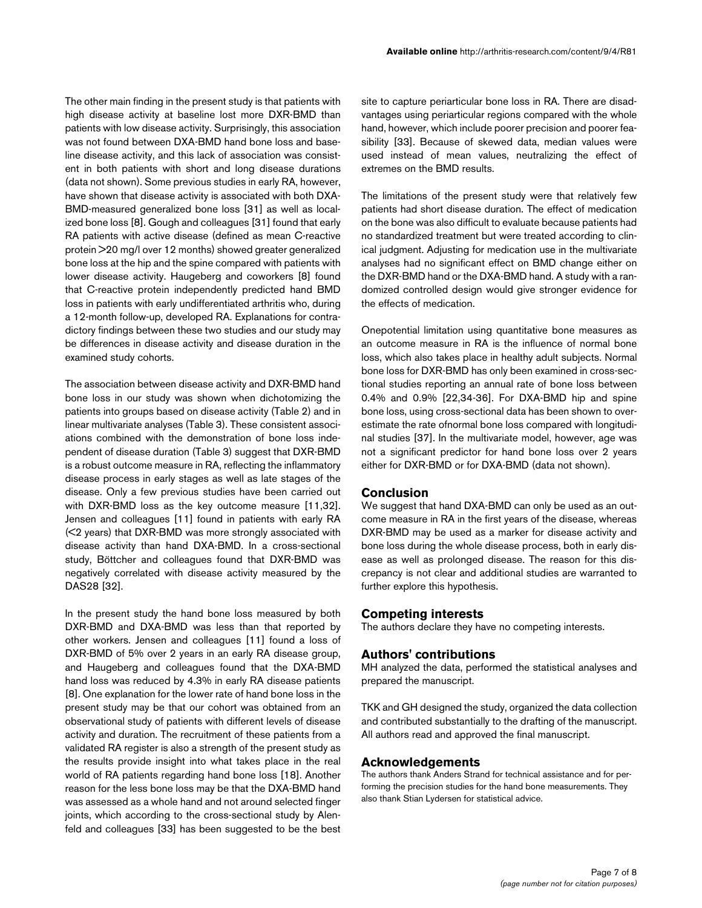The other main finding in the present study is that patients with high disease activity at baseline lost more DXR-BMD than patients with low disease activity. Surprisingly, this association was not found between DXA-BMD hand bone loss and baseline disease activity, and this lack of association was consistent in both patients with short and long disease durations (data not shown). Some previous studies in early RA, however, have shown that disease activity is associated with both DXA-BMD-measured generalized bone loss [31] as well as localized bone loss [8]. Gough and colleagues [31] found that early RA patients with active disease (defined as mean C-reactive protein >20 mg/l over 12 months) showed greater generalized bone loss at the hip and the spine compared with patients with lower disease activity. Haugeberg and coworkers [8] found that C-reactive protein independently predicted hand BMD loss in patients with early undifferentiated arthritis who, during a 12-month follow-up, developed RA. Explanations for contradictory findings between these two studies and our study may be differences in disease activity and disease duration in the examined study cohorts.

The association between disease activity and DXR-BMD hand bone loss in our study was shown when dichotomizing the patients into groups based on disease activity (Table [2\)](#page-4-0) and in linear multivariate analyses (Table 3). These consistent associations combined with the demonstration of bone loss independent of disease duration (Table 3) suggest that DXR-BMD is a robust outcome measure in RA, reflecting the inflammatory disease process in early stages as well as late stages of the disease. Only a few previous studies have been carried out with DXR-BMD loss as the key outcome measure [11,32]. Jensen and colleagues [11] found in patients with early RA (<2 years) that DXR-BMD was more strongly associated with disease activity than hand DXA-BMD. In a cross-sectional study, Böttcher and colleagues found that DXR-BMD was negatively correlated with disease activity measured by the DAS28 [32].

In the present study the hand bone loss measured by both DXR-BMD and DXA-BMD was less than that reported by other workers. Jensen and colleagues [11] found a loss of DXR-BMD of 5% over 2 years in an early RA disease group, and Haugeberg and colleagues found that the DXA-BMD hand loss was reduced by 4.3% in early RA disease patients [8]. One explanation for the lower rate of hand bone loss in the present study may be that our cohort was obtained from an observational study of patients with different levels of disease activity and duration. The recruitment of these patients from a validated RA register is also a strength of the present study as the results provide insight into what takes place in the real world of RA patients regarding hand bone loss [18]. Another reason for the less bone loss may be that the DXA-BMD hand was assessed as a whole hand and not around selected finger joints, which according to the cross-sectional study by Alenfeld and colleagues [33] has been suggested to be the best

site to capture periarticular bone loss in RA. There are disadvantages using periarticular regions compared with the whole hand, however, which include poorer precision and poorer feasibility [33]. Because of skewed data, median values were used instead of mean values, neutralizing the effect of extremes on the BMD results.

The limitations of the present study were that relatively few patients had short disease duration. The effect of medication on the bone was also difficult to evaluate because patients had no standardized treatment but were treated according to clinical judgment. Adjusting for medication use in the multivariate analyses had no significant effect on BMD change either on the DXR-BMD hand or the DXA-BMD hand. A study with a randomized controlled design would give stronger evidence for the effects of medication.

Onepotential limitation using quantitative bone measures as an outcome measure in RA is the influence of normal bone loss, which also takes place in healthy adult subjects. Normal bone loss for DXR-BMD has only been examined in cross-sectional studies reporting an annual rate of bone loss between 0.4% and 0.9% [22,34-36]. For DXA-BMD hip and spine bone loss, using cross-sectional data has been shown to overestimate the rate ofnormal bone loss compared with longitudinal studies [37]. In the multivariate model, however, age was not a significant predictor for hand bone loss over 2 years either for DXR-BMD or for DXA-BMD (data not shown).

# **Conclusion**

We suggest that hand DXA-BMD can only be used as an outcome measure in RA in the first years of the disease, whereas DXR-BMD may be used as a marker for disease activity and bone loss during the whole disease process, both in early disease as well as prolonged disease. The reason for this discrepancy is not clear and additional studies are warranted to further explore this hypothesis.

# **Competing interests**

The authors declare they have no competing interests.

# **Authors' contributions**

MH analyzed the data, performed the statistical analyses and prepared the manuscript.

TKK and GH designed the study, organized the data collection and contributed substantially to the drafting of the manuscript. All authors read and approved the final manuscript.

#### **Acknowledgements**

The authors thank Anders Strand for technical assistance and for performing the precision studies for the hand bone measurements. They also thank Stian Lydersen for statistical advice.